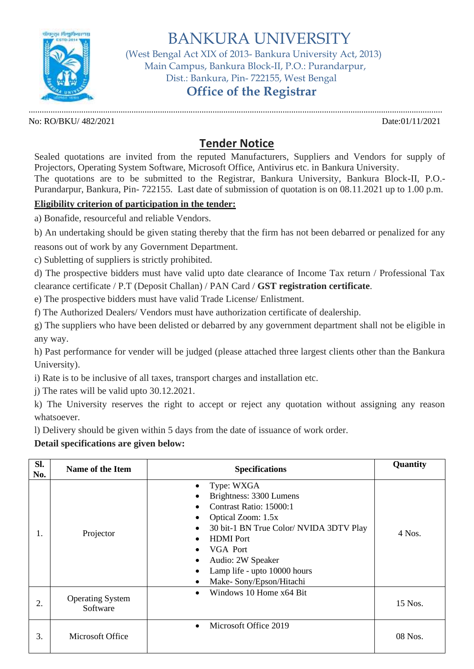

BANKURA UNIVERSITY

 (West Bengal Act XIX of 2013- Bankura University Act, 2013) Main Campus, Bankura Block-II, P.O.: Purandarpur, Dist.: Bankura, Pin- 722155, West Bengal

## **Office of the Registrar**

............................................................................................................................................................................................. No: RO/BKU/ 482/2021 Date:01/11/2021

## **Tender Notice**

Sealed quotations are invited from the reputed Manufacturers, Suppliers and Vendors for supply of Projectors, Operating System Software, Microsoft Office, Antivirus etc. in Bankura University. The quotations are to be submitted to the Registrar, Bankura University, Bankura Block-II, P.O.- Purandarpur, Bankura, Pin- 722155. Last date of submission of quotation is on 08.11.2021 up to 1.00 p.m.

## **Eligibility criterion of participation in the tender:**

a) Bonafide, resourceful and reliable Vendors.

b) An undertaking should be given stating thereby that the firm has not been debarred or penalized for any

reasons out of work by any Government Department.

c) Subletting of suppliers is strictly prohibited.

d) The prospective bidders must have valid upto date clearance of Income Tax return / Professional Tax clearance certificate / P.T (Deposit Challan) / PAN Card / **GST registration certificate**.

e) The prospective bidders must have valid Trade License/ Enlistment.

f) The Authorized Dealers/ Vendors must have authorization certificate of dealership.

g) The suppliers who have been delisted or debarred by any government department shall not be eligible in any way.

h) Past performance for vender will be judged (please attached three largest clients other than the Bankura University).

i) Rate is to be inclusive of all taxes, transport charges and installation etc.

j) The rates will be valid upto 30.12.2021.

k) The University reserves the right to accept or reject any quotation without assigning any reason whatsoever.

l) Delivery should be given within 5 days from the date of issuance of work order.

**Detail specifications are given below:**

| Sl.<br>No. | <b>Name of the Item</b>             | <b>Specifications</b>                                                                                                                                                                                                                                    | Quantity |
|------------|-------------------------------------|----------------------------------------------------------------------------------------------------------------------------------------------------------------------------------------------------------------------------------------------------------|----------|
| 1.         | Projector                           | Type: WXGA<br>Brightness: 3300 Lumens<br>Contrast Ratio: 15000:1<br>Optical Zoom: 1.5x<br>30 bit-1 BN True Color/ NVIDA 3DTV Play<br><b>HDMI</b> Port<br><b>VGA</b> Port<br>Audio: 2W Speaker<br>Lamp life - upto 10000 hours<br>Make-Sony/Epson/Hitachi | 4 Nos.   |
| 2.         | <b>Operating System</b><br>Software | Windows 10 Home x64 Bit                                                                                                                                                                                                                                  | 15 Nos.  |
| 3.         | Microsoft Office                    | Microsoft Office 2019<br>$\bullet$                                                                                                                                                                                                                       | 08 Nos.  |